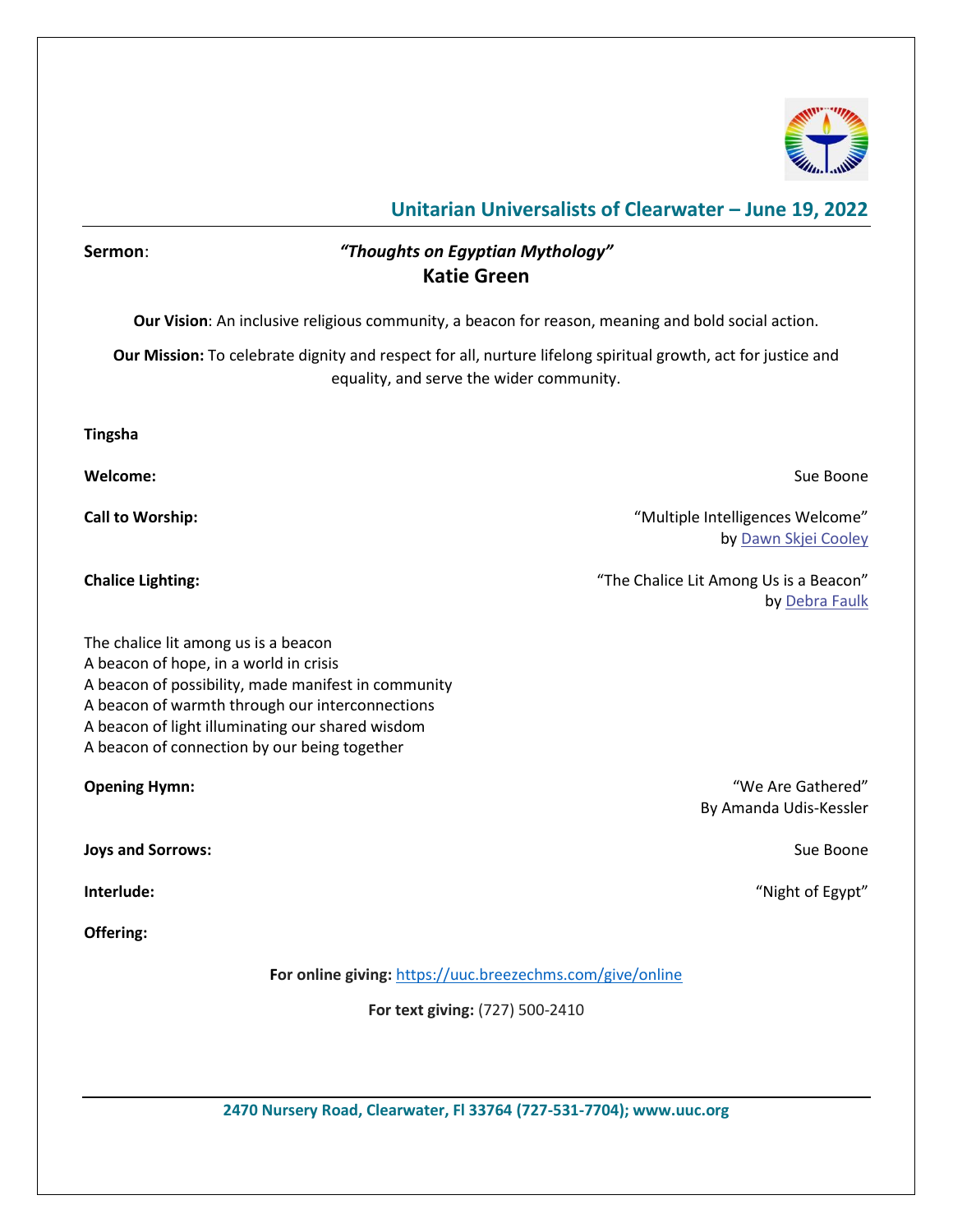

#### **Sermon**: *"Thoughts on Egyptian Mythology"* **Katie Green**

**Our Vision**: An inclusive religious community, a beacon for reason, meaning and bold social action.

**Our Mission:** To celebrate dignity and respect for all, nurture lifelong spiritual growth, act for justice and equality, and serve the wider community.

**Tingsha**

**Welcome:** Sue Boone

**Call to Worship:**  $\blacksquare$  **Call to Worship:**  $\blacksquare$  **Call to Worship:**  $\blacksquare$  **Call to Worship:**  $\blacksquare$  **Call to Worship:**  $\blacksquare$ by [Dawn Skjei Cooley](https://www.uua.org/offices/people/dawn-skjei-cooley)

**Chalice Lighting:** "The Chalice Lit Among Us is a Beacon" by [Debra Faulk](https://www.uua.org/offices/people/debra-faulk)

The chalice lit among us is a beacon A beacon of hope, in a world in crisis A beacon of possibility, made manifest in community A beacon of warmth through our interconnections A beacon of light illuminating our shared wisdom A beacon of connection by our being together

**Joys and Sorrows:** Sue Boone **Sue Boone Sue Boone Sue Boone Sue Boone Sue Boone** 

**Offering:**

**For online giving:** <https://uuc.breezechms.com/give/online>

**For text giving:** (727) 500-2410

**2470 Nursery Road, Clearwater, Fl 33764 (727-531-7704); www.uuc.org**

**Opening Hymn: Compared 2008 COMPARED 2009 COMPARED 2009 COMPARED 2009 COMPARED 2009 COMPARED 2009 COMPARED 2009 COMPARED 2009 COMPARED 2009 COMPARED 2009 COMPARED 2009 COMPARED 2009 COMPARED 2009** By Amanda Udis-Kessler

**Interlude:** "Night of Egypt"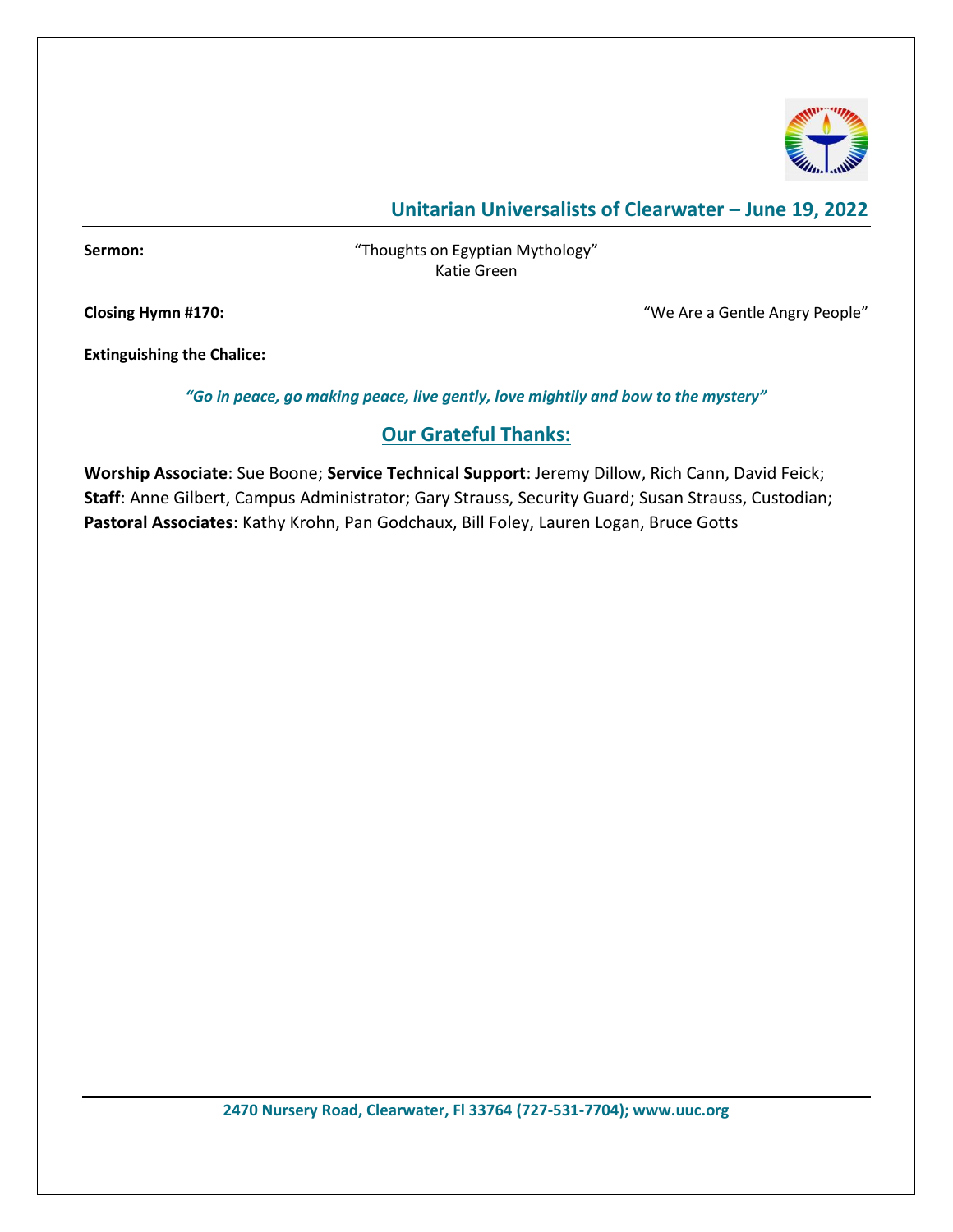

**Sermon:** "Thoughts on Egyptian Mythology" Katie Green

**Closing Hymn #170:** "We Are a Gentle Angry People"

**Extinguishing the Chalice:** 

*"Go in peace, go making peace, live gently, love mightily and bow to the mystery"*

#### **Our Grateful Thanks:**

**Worship Associate**: Sue Boone; **Service Technical Support**: Jeremy Dillow, Rich Cann, David Feick; **Staff**: Anne Gilbert, Campus Administrator; Gary Strauss, Security Guard; Susan Strauss, Custodian; **Pastoral Associates**: Kathy Krohn, Pan Godchaux, Bill Foley, Lauren Logan, Bruce Gotts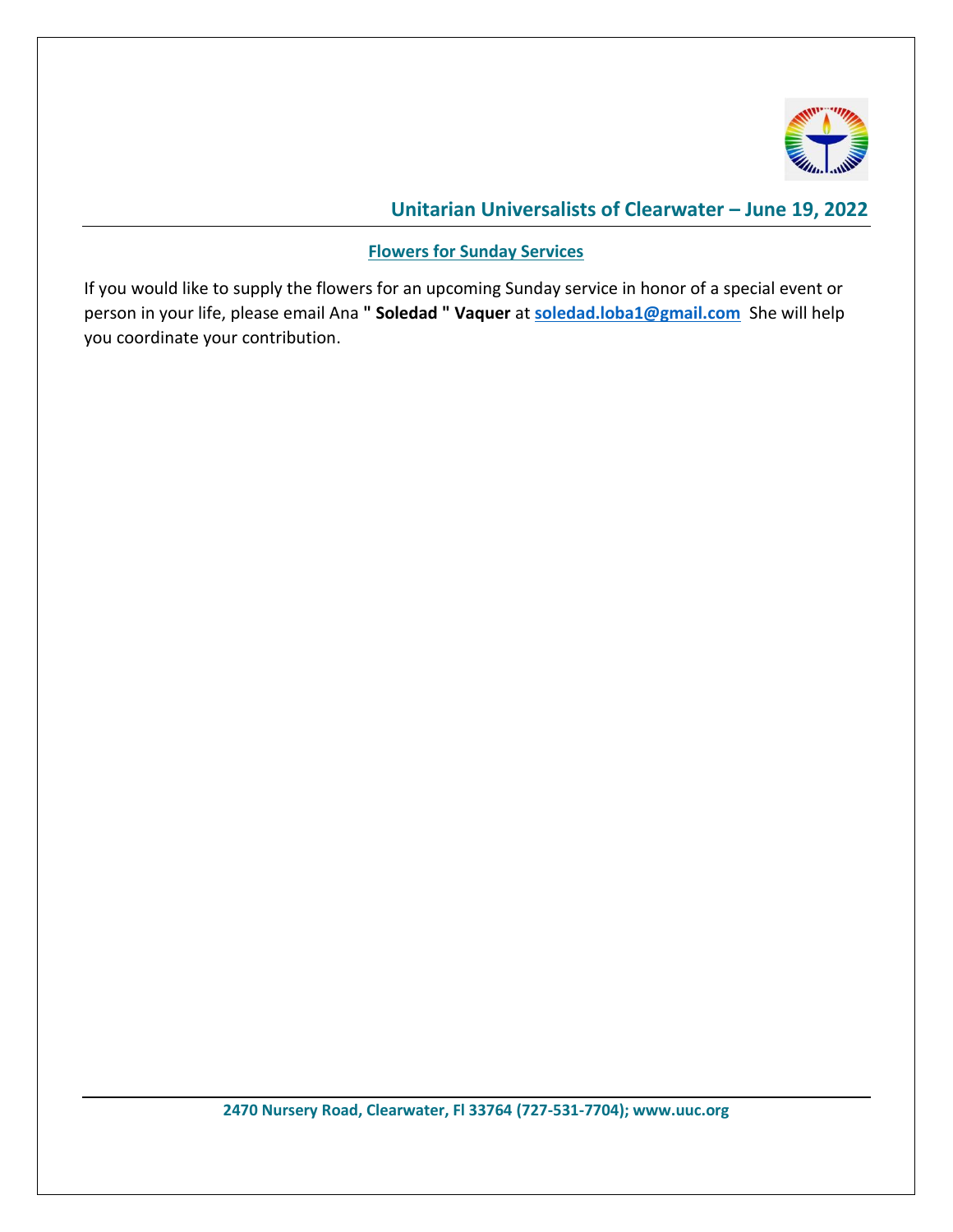

**Flowers for Sunday Services**

If you would like to supply the flowers for an upcoming Sunday service in honor of a special event or person in your life, please email Ana **" Soledad " Vaquer** at **[soledad.loba1@gmail.com](mailto:soledad.loba1@gmail.com)** She will help you coordinate your contribution.

**2470 Nursery Road, Clearwater, Fl 33764 (727-531-7704); www.uuc.org**